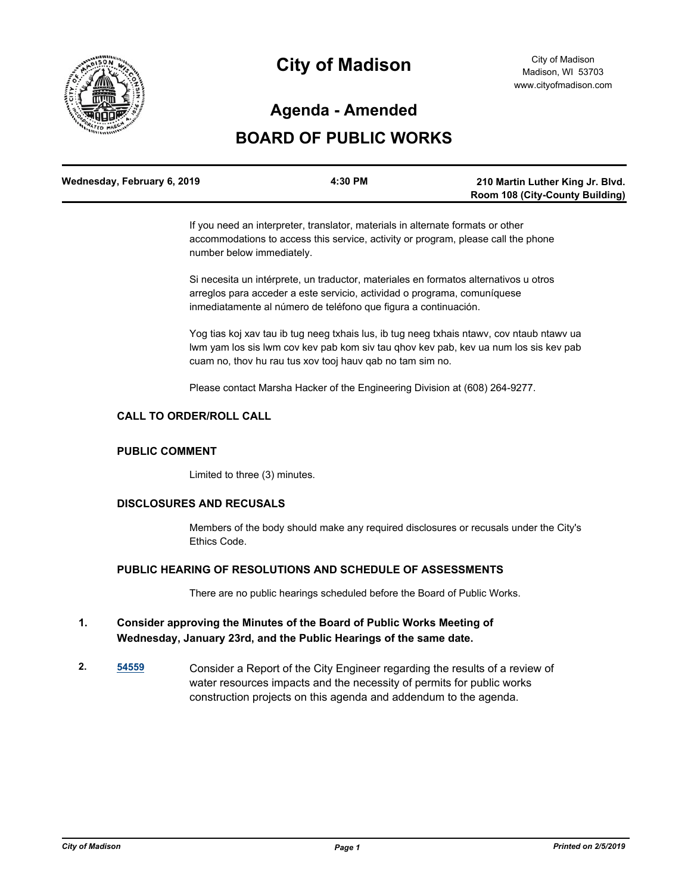

# **City of Madison**

## **Agenda - Amended**

## **BOARD OF PUBLIC WORKS**

| Wednesday, February 6, 2019 | 4:30 PM | 210 Martin Luther King Jr. Blvd.       |
|-----------------------------|---------|----------------------------------------|
|                             |         | <b>Room 108 (City-County Building)</b> |

If you need an interpreter, translator, materials in alternate formats or other accommodations to access this service, activity or program, please call the phone number below immediately.

Si necesita un intérprete, un traductor, materiales en formatos alternativos u otros arreglos para acceder a este servicio, actividad o programa, comuníquese inmediatamente al número de teléfono que figura a continuación.

Yog tias koj xav tau ib tug neeg txhais lus, ib tug neeg txhais ntawv, cov ntaub ntawv ua lwm yam los sis lwm cov kev pab kom siv tau qhov kev pab, kev ua num los sis kev pab cuam no, thov hu rau tus xov tooj hauv qab no tam sim no.

Please contact Marsha Hacker of the Engineering Division at (608) 264-9277.

## **CALL TO ORDER/ROLL CALL**

## **PUBLIC COMMENT**

Limited to three (3) minutes.

## **DISCLOSURES AND RECUSALS**

Members of the body should make any required disclosures or recusals under the City's Ethics Code.

## **PUBLIC HEARING OF RESOLUTIONS AND SCHEDULE OF ASSESSMENTS**

There are no public hearings scheduled before the Board of Public Works.

## **1. Consider approving the Minutes of the Board of Public Works Meeting of Wednesday, January 23rd, and the Public Hearings of the same date.**

**2. [54559](http://madison.legistar.com/gateway.aspx?m=l&id=/matter.aspx?key=65074)** Consider a Report of the City Engineer regarding the results of a review of water resources impacts and the necessity of permits for public works construction projects on this agenda and addendum to the agenda.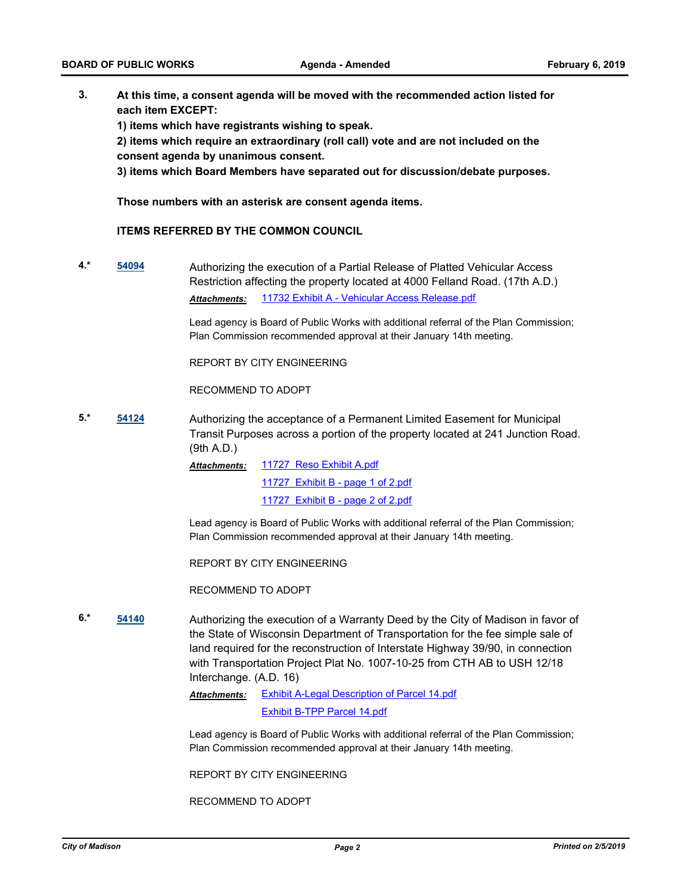**3. At this time, a consent agenda will be moved with the recommended action listed for each item EXCEPT:**

**1) items which have registrants wishing to speak.**

**2) items which require an extraordinary (roll call) vote and are not included on the consent agenda by unanimous consent.**

**3) items which Board Members have separated out for discussion/debate purposes.** 

**Those numbers with an asterisk are consent agenda items.**

### **ITEMS REFERRED BY THE COMMON COUNCIL**

**4.\* [54094](http://madison.legistar.com/gateway.aspx?m=l&id=/matter.aspx?key=62643)** Authorizing the execution of a Partial Release of Platted Vehicular Access Restriction affecting the property located at 4000 Felland Road. (17th A.D.) *Attachments:* [11732 Exhibit A - Vehicular Access Release.pdf](http://madison.legistar.com/gateway.aspx?M=F&ID=722ae649-ba8f-4e53-904f-985b33957e85.pdf)

> Lead agency is Board of Public Works with additional referral of the Plan Commission; Plan Commission recommended approval at their January 14th meeting.

REPORT BY CITY ENGINEERING

RECOMMEND TO ADOPT

**5.\* [54124](http://madison.legistar.com/gateway.aspx?m=l&id=/matter.aspx?key=63672)** Authorizing the acceptance of a Permanent Limited Easement for Municipal Transit Purposes across a portion of the property located at 241 Junction Road. (9th A.D.)

> [11727 Reso Exhibit A.pdf](http://madison.legistar.com/gateway.aspx?M=F&ID=d2d009c2-0f20-4f56-bb71-eb8078ce719a.pdf) [11727 Exhibit B - page 1 of 2.pdf](http://madison.legistar.com/gateway.aspx?M=F&ID=c95328f9-bf72-401c-a98c-e048b18abd84.pdf) [11727 Exhibit B - page 2 of 2.pdf](http://madison.legistar.com/gateway.aspx?M=F&ID=376e0203-f848-4e81-aad1-8422d863cea6.pdf) *Attachments:*

Lead agency is Board of Public Works with additional referral of the Plan Commission; Plan Commission recommended approval at their January 14th meeting.

REPORT BY CITY ENGINEERING

RECOMMEND TO ADOPT

**6.\* [54140](http://madison.legistar.com/gateway.aspx?m=l&id=/matter.aspx?key=63684)** Authorizing the execution of a Warranty Deed by the City of Madison in favor of the State of Wisconsin Department of Transportation for the fee simple sale of land required for the reconstruction of Interstate Highway 39/90, in connection with Transportation Project Plat No. 1007-10-25 from CTH AB to USH 12/18 Interchange. (A.D. 16)

> [Exhibit A-Legal Description of Parcel 14.pdf](http://madison.legistar.com/gateway.aspx?M=F&ID=1a26dda8-26c7-42d4-b932-4bc0d414a5b4.pdf) *Attachments:*

> > [Exhibit B-TPP Parcel 14.pdf](http://madison.legistar.com/gateway.aspx?M=F&ID=2fdb0527-0fae-46ba-a757-67de2b83633b.pdf)

Lead agency is Board of Public Works with additional referral of the Plan Commission; Plan Commission recommended approval at their January 14th meeting.

REPORT BY CITY ENGINEERING

RECOMMEND TO ADOPT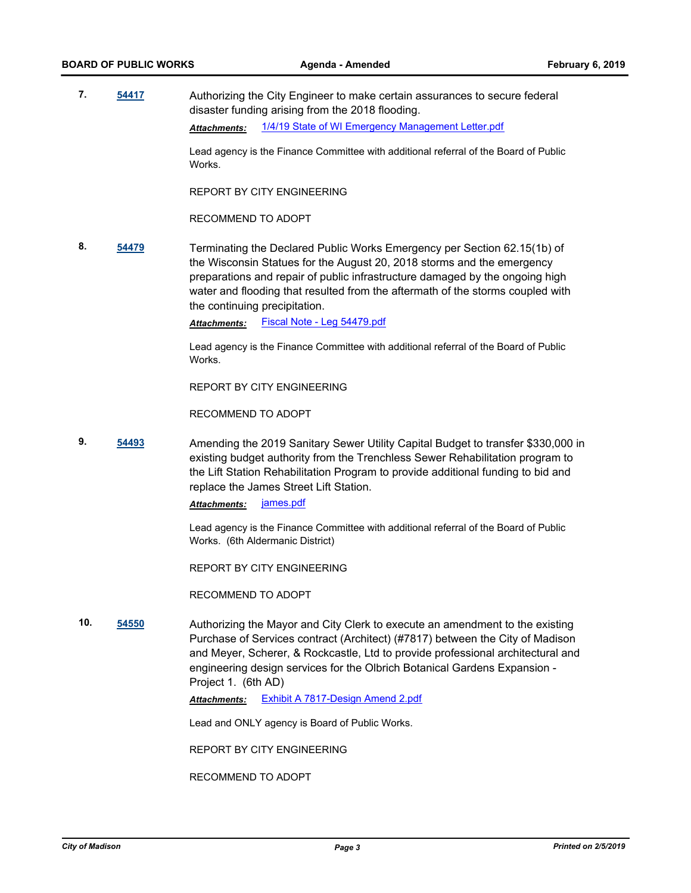**7. [54417](http://madison.legistar.com/gateway.aspx?m=l&id=/matter.aspx?key=64938)** Authorizing the City Engineer to make certain assurances to secure federal disaster funding arising from the 2018 flooding. *Attachments:* [1/4/19 State of WI Emergency Management Letter.pdf](http://madison.legistar.com/gateway.aspx?M=F&ID=0a46be53-046b-4447-ae8e-8066659a1a3a.pdf)

> Lead agency is the Finance Committee with additional referral of the Board of Public Works.

REPORT BY CITY ENGINEERING

RECOMMEND TO ADOPT

**8. [54479](http://madison.legistar.com/gateway.aspx?m=l&id=/matter.aspx?key=64997)** Terminating the Declared Public Works Emergency per Section 62.15(1b) of the Wisconsin Statues for the August 20, 2018 storms and the emergency preparations and repair of public infrastructure damaged by the ongoing high water and flooding that resulted from the aftermath of the storms coupled with the continuing precipitation.

*Attachments:* [Fiscal Note - Leg 54479.pdf](http://madison.legistar.com/gateway.aspx?M=F&ID=15748875-d6bf-4a97-a702-ab3746edd16a.pdf)

Lead agency is the Finance Committee with additional referral of the Board of Public Works.

REPORT BY CITY ENGINEERING

RECOMMEND TO ADOPT

**9. [54493](http://madison.legistar.com/gateway.aspx?m=l&id=/matter.aspx?key=65011)** Amending the 2019 Sanitary Sewer Utility Capital Budget to transfer \$330,000 in existing budget authority from the Trenchless Sewer Rehabilitation program to the Lift Station Rehabilitation Program to provide additional funding to bid and replace the James Street Lift Station.

*Attachments:* [james.pdf](http://madison.legistar.com/gateway.aspx?M=F&ID=c75f2986-b65d-4a2e-873c-a64eb765b789.pdf)

Lead agency is the Finance Committee with additional referral of the Board of Public Works. (6th Aldermanic District)

REPORT BY CITY ENGINEERING

RECOMMEND TO ADOPT

**10. [54550](http://madison.legistar.com/gateway.aspx?m=l&id=/matter.aspx?key=65065)** Authorizing the Mayor and City Clerk to execute an amendment to the existing Purchase of Services contract (Architect) (#7817) between the City of Madison and Meyer, Scherer, & Rockcastle, Ltd to provide professional architectural and engineering design services for the Olbrich Botanical Gardens Expansion - Project 1. (6th AD)

*Attachments:* [Exhibit A 7817-Design Amend 2.pdf](http://madison.legistar.com/gateway.aspx?M=F&ID=5d877dba-27d3-498b-870a-e516c4da7dea.pdf)

Lead and ONLY agency is Board of Public Works.

REPORT BY CITY ENGINEERING

RECOMMEND TO ADOPT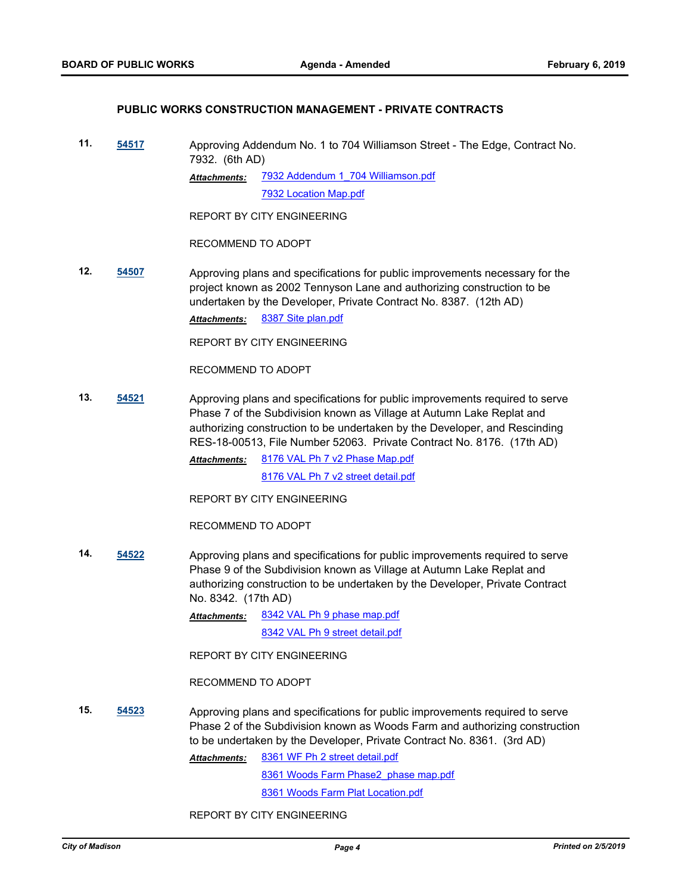#### **PUBLIC WORKS CONSTRUCTION MANAGEMENT - PRIVATE CONTRACTS**

**11. [54517](http://madison.legistar.com/gateway.aspx?m=l&id=/matter.aspx?key=65035)** Approving Addendum No. 1 to 704 Williamson Street - The Edge, Contract No. 7932. (6th AD)

> [7932 Addendum 1\\_704 Williamson.pdf](http://madison.legistar.com/gateway.aspx?M=F&ID=97592616-7d14-4437-8052-f27e687d42f0.pdf) [7932 Location Map.pdf](http://madison.legistar.com/gateway.aspx?M=F&ID=48a42579-0697-4a5f-8939-0c37250af81b.pdf) *Attachments:*

REPORT BY CITY ENGINEERING

RECOMMEND TO ADOPT

**12. [54507](http://madison.legistar.com/gateway.aspx?m=l&id=/matter.aspx?key=65025)** Approving plans and specifications for public improvements necessary for the project known as 2002 Tennyson Lane and authorizing construction to be undertaken by the Developer, Private Contract No. 8387. (12th AD) *Attachments:* [8387 Site plan.pdf](http://madison.legistar.com/gateway.aspx?M=F&ID=2269cc7a-1785-4515-b7b8-4aabbdd3e84f.pdf)

REPORT BY CITY ENGINEERING

RECOMMEND TO ADOPT

**13. [54521](http://madison.legistar.com/gateway.aspx?m=l&id=/matter.aspx?key=65039)** Approving plans and specifications for public improvements required to serve Phase 7 of the Subdivision known as Village at Autumn Lake Replat and authorizing construction to be undertaken by the Developer, and Rescinding RES-18-00513, File Number 52063. Private Contract No. 8176. (17th AD)

> [8176 VAL Ph 7 v2 Phase Map.pdf](http://madison.legistar.com/gateway.aspx?M=F&ID=7f16ab30-360e-4fd5-b44e-8d0dcae6a616.pdf) [8176 VAL Ph 7 v2 street detail.pdf](http://madison.legistar.com/gateway.aspx?M=F&ID=1eaf6923-6169-41a7-990d-96d307c8b213.pdf) *Attachments:*

REPORT BY CITY ENGINEERING

RECOMMEND TO ADOPT

**14. [54522](http://madison.legistar.com/gateway.aspx?m=l&id=/matter.aspx?key=65040)** Approving plans and specifications for public improvements required to serve Phase 9 of the Subdivision known as Village at Autumn Lake Replat and authorizing construction to be undertaken by the Developer, Private Contract No. 8342. (17th AD)

> [8342 VAL Ph 9 phase map.pdf](http://madison.legistar.com/gateway.aspx?M=F&ID=71f6d510-4274-452a-b319-111557d6277f.pdf) [8342 VAL Ph 9 street detail.pdf](http://madison.legistar.com/gateway.aspx?M=F&ID=7790d074-496e-4741-9302-bec76c21190a.pdf) *Attachments:*

REPORT BY CITY ENGINEERING

RECOMMEND TO ADOPT

**15. [54523](http://madison.legistar.com/gateway.aspx?m=l&id=/matter.aspx?key=65041)** Approving plans and specifications for public improvements required to serve Phase 2 of the Subdivision known as Woods Farm and authorizing construction to be undertaken by the Developer, Private Contract No. 8361. (3rd AD)

> [8361 WF Ph 2 street detail.pdf](http://madison.legistar.com/gateway.aspx?M=F&ID=0bd0a2ad-2424-4bbe-93b1-20355dd606dc.pdf) *Attachments:*

> > [8361 Woods Farm Phase2\\_phase map.pdf](http://madison.legistar.com/gateway.aspx?M=F&ID=6a0826c0-c1cf-4dce-b776-917a45ee79c1.pdf)

[8361 Woods Farm Plat Location.pdf](http://madison.legistar.com/gateway.aspx?M=F&ID=dc2b4bdb-4925-45cf-9452-371259f94386.pdf)

REPORT BY CITY ENGINEERING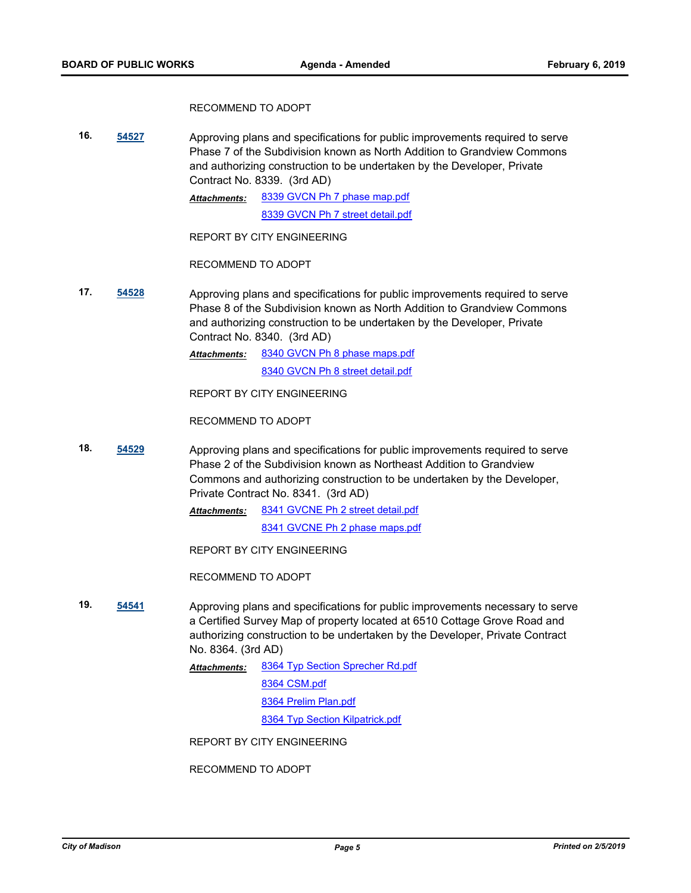#### RECOMMEND TO ADOPT

**16. [54527](http://madison.legistar.com/gateway.aspx?m=l&id=/matter.aspx?key=65045)** Approving plans and specifications for public improvements required to serve Phase 7 of the Subdivision known as North Addition to Grandview Commons and authorizing construction to be undertaken by the Developer, Private Contract No. 8339. (3rd AD)

> [8339 GVCN Ph 7 phase map.pdf](http://madison.legistar.com/gateway.aspx?M=F&ID=f257cb54-be1b-47c6-978a-524bd2b95b29.pdf) [8339 GVCN Ph 7 street detail.pdf](http://madison.legistar.com/gateway.aspx?M=F&ID=f6729d9b-9312-4922-8f9c-73d824385862.pdf) *Attachments:*

REPORT BY CITY ENGINEERING

RECOMMEND TO ADOPT

**17. [54528](http://madison.legistar.com/gateway.aspx?m=l&id=/matter.aspx?key=65046)** Approving plans and specifications for public improvements required to serve Phase 8 of the Subdivision known as North Addition to Grandview Commons and authorizing construction to be undertaken by the Developer, Private Contract No. 8340. (3rd AD)

> [8340 GVCN Ph 8 phase maps.pdf](http://madison.legistar.com/gateway.aspx?M=F&ID=e14492a7-ef2b-42c8-ad17-50368e147310.pdf) [8340 GVCN Ph 8 street detail.pdf](http://madison.legistar.com/gateway.aspx?M=F&ID=3769b3ee-55d8-46f5-90eb-955a3bdba5a9.pdf) *Attachments:*

REPORT BY CITY ENGINEERING

RECOMMEND TO ADOPT

**18. [54529](http://madison.legistar.com/gateway.aspx?m=l&id=/matter.aspx?key=65047)** Approving plans and specifications for public improvements required to serve Phase 2 of the Subdivision known as Northeast Addition to Grandview Commons and authorizing construction to be undertaken by the Developer, Private Contract No. 8341. (3rd AD)

> [8341 GVCNE Ph 2 street detail.pdf](http://madison.legistar.com/gateway.aspx?M=F&ID=13b5d1eb-ae9a-40ac-9a6d-3cd67374590f.pdf) *Attachments:*

[8341 GVCNE Ph 2 phase maps.pdf](http://madison.legistar.com/gateway.aspx?M=F&ID=b1f4518e-cf3a-4c1d-9be6-375f5a110f7a.pdf)

REPORT BY CITY ENGINEERING

RECOMMEND TO ADOPT

- **19. [54541](http://madison.legistar.com/gateway.aspx?m=l&id=/matter.aspx?key=65056)** Approving plans and specifications for public improvements necessary to serve a Certified Survey Map of property located at 6510 Cottage Grove Road and authorizing construction to be undertaken by the Developer, Private Contract No. 8364. (3rd AD)
	- [8364 Typ Section Sprecher Rd.pdf](http://madison.legistar.com/gateway.aspx?M=F&ID=2b076c6c-33db-4858-b4eb-4b635e00e83e.pdf) [8364 CSM.pdf](http://madison.legistar.com/gateway.aspx?M=F&ID=06fa4d5f-8fde-41c6-b921-7402cdf9f490.pdf) [8364 Prelim Plan.pdf](http://madison.legistar.com/gateway.aspx?M=F&ID=163d9d1e-8efd-4561-9a7b-d8bedc99cbce.pdf) *Attachments:*

[8364 Typ Section Kilpatrick.pdf](http://madison.legistar.com/gateway.aspx?M=F&ID=af4fd811-931a-4747-8774-649cb2a83f93.pdf)

REPORT BY CITY ENGINEERING

RECOMMEND TO ADOPT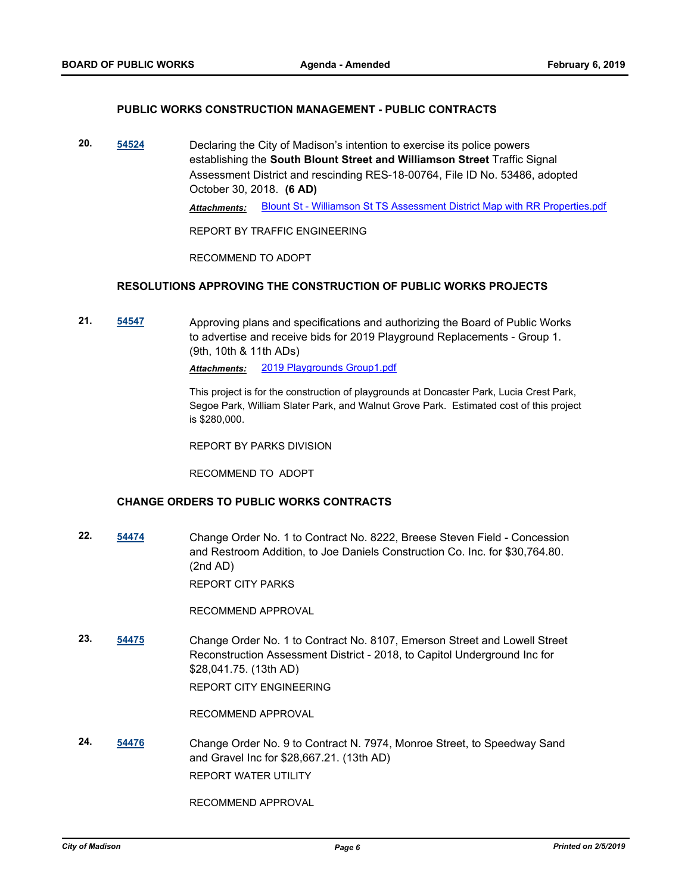#### **PUBLIC WORKS CONSTRUCTION MANAGEMENT - PUBLIC CONTRACTS**

**20. [54524](http://madison.legistar.com/gateway.aspx?m=l&id=/matter.aspx?key=65042)** Declaring the City of Madison's intention to exercise its police powers establishing the **South Blount Street and Williamson Street** Traffic Signal Assessment District and rescinding RES-18-00764, File ID No. 53486, adopted October 30, 2018. **(6 AD)** *Attachments:* [Blount St - Williamson St TS Assessment District Map with RR Properties.pdf](http://madison.legistar.com/gateway.aspx?M=F&ID=7d0e0836-0cb7-4c14-b6c1-7b4a952ba675.pdf)

REPORT BY TRAFFIC ENGINEERING

RECOMMEND TO ADOPT

#### **RESOLUTIONS APPROVING THE CONSTRUCTION OF PUBLIC WORKS PROJECTS**

**21. [54547](http://madison.legistar.com/gateway.aspx?m=l&id=/matter.aspx?key=65062)** Approving plans and specifications and authorizing the Board of Public Works to advertise and receive bids for 2019 Playground Replacements - Group 1. (9th, 10th & 11th ADs)

*Attachments:* [2019 Playgrounds Group1.pdf](http://madison.legistar.com/gateway.aspx?M=F&ID=eee23f13-e5a6-43f9-95ec-35851712f5ec.pdf)

This project is for the construction of playgrounds at Doncaster Park, Lucia Crest Park, Segoe Park, William Slater Park, and Walnut Grove Park. Estimated cost of this project is \$280,000.

REPORT BY PARKS DIVISION

RECOMMEND TO ADOPT

## **CHANGE ORDERS TO PUBLIC WORKS CONTRACTS**

**22. [54474](http://madison.legistar.com/gateway.aspx?m=l&id=/matter.aspx?key=64992)** Change Order No. 1 to Contract No. 8222, Breese Steven Field - Concession and Restroom Addition, to Joe Daniels Construction Co. Inc. for \$30,764.80. (2nd AD)

REPORT CITY PARKS

RECOMMEND APPROVAL

**23. [54475](http://madison.legistar.com/gateway.aspx?m=l&id=/matter.aspx?key=64993)** Change Order No. 1 to Contract No. 8107, Emerson Street and Lowell Street Reconstruction Assessment District - 2018, to Capitol Underground Inc for \$28,041.75. (13th AD) REPORT CITY ENGINEERING

RECOMMEND APPROVAL

**24. [54476](http://madison.legistar.com/gateway.aspx?m=l&id=/matter.aspx?key=64994)** Change Order No. 9 to Contract N. 7974, Monroe Street, to Speedway Sand and Gravel Inc for \$28,667.21. (13th AD) REPORT WATER UTILITY

RECOMMEND APPROVAL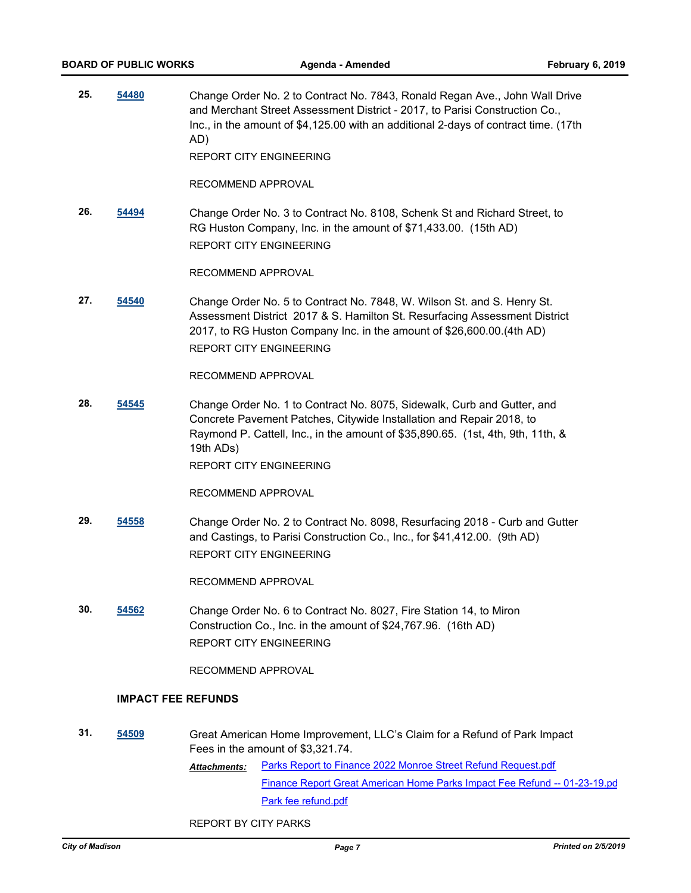**25. [54480](http://madison.legistar.com/gateway.aspx?m=l&id=/matter.aspx?key=64998)** Change Order No. 2 to Contract No. 7843, Ronald Regan Ave., John Wall Drive and Merchant Street Assessment District - 2017, to Parisi Construction Co., Inc., in the amount of \$4,125.00 with an additional 2-days of contract time. (17th AD)

REPORT CITY ENGINEERING

RECOMMEND APPROVAL

**26. [54494](http://madison.legistar.com/gateway.aspx?m=l&id=/matter.aspx?key=65012)** Change Order No. 3 to Contract No. 8108, Schenk St and Richard Street, to RG Huston Company, Inc. in the amount of \$71,433.00. (15th AD) REPORT CITY ENGINEERING

RECOMMEND APPROVAL

**27. [54540](http://madison.legistar.com/gateway.aspx?m=l&id=/matter.aspx?key=65055)** Change Order No. 5 to Contract No. 7848, W. Wilson St. and S. Henry St. Assessment District 2017 & S. Hamilton St. Resurfacing Assessment District 2017, to RG Huston Company Inc. in the amount of \$26,600.00.(4th AD) REPORT CITY ENGINEERING

RECOMMEND APPROVAL

**28. [54545](http://madison.legistar.com/gateway.aspx?m=l&id=/matter.aspx?key=65060)** Change Order No. 1 to Contract No. 8075, Sidewalk, Curb and Gutter, and Concrete Pavement Patches, Citywide Installation and Repair 2018, to Raymond P. Cattell, Inc., in the amount of \$35,890.65. (1st, 4th, 9th, 11th, & 19th ADs)

REPORT CITY ENGINEERING

RECOMMEND APPROVAL

**29. [54558](http://madison.legistar.com/gateway.aspx?m=l&id=/matter.aspx?key=65073)** Change Order No. 2 to Contract No. 8098, Resurfacing 2018 - Curb and Gutter and Castings, to Parisi Construction Co., Inc., for \$41,412.00. (9th AD) REPORT CITY ENGINEERING

RECOMMEND APPROVAL

**30. [54562](http://madison.legistar.com/gateway.aspx?m=l&id=/matter.aspx?key=65077)** Change Order No. 6 to Contract No. 8027, Fire Station 14, to Miron Construction Co., Inc. in the amount of \$24,767.96. (16th AD) REPORT CITY ENGINEERING

RECOMMEND APPROVAL

#### **IMPACT FEE REFUNDS**

- **31. [54509](http://madison.legistar.com/gateway.aspx?m=l&id=/matter.aspx?key=65027)** Great American Home Improvement, LLC's Claim for a Refund of Park Impact Fees in the amount of \$3,321.74.
	- [Parks Report to Finance 2022 Monroe Street Refund Request.pdf](http://madison.legistar.com/gateway.aspx?M=F&ID=cd3dc1b3-054b-4bc6-bc0c-bda9aaecbe1f.pdf) [Finance Report Great American Home Parks Impact Fee Refund -- 01-23-19.pd](http://madison.legistar.com/gateway.aspx?M=F&ID=d4ecfee8-fc30-46bc-b082-4255e87e8e97.pdf) [Park fee refund.pdf](http://madison.legistar.com/gateway.aspx?M=F&ID=f796ff3d-d36d-4eef-8fd3-e4ca69c69fdd.pdf) *Attachments:*

REPORT BY CITY PARKS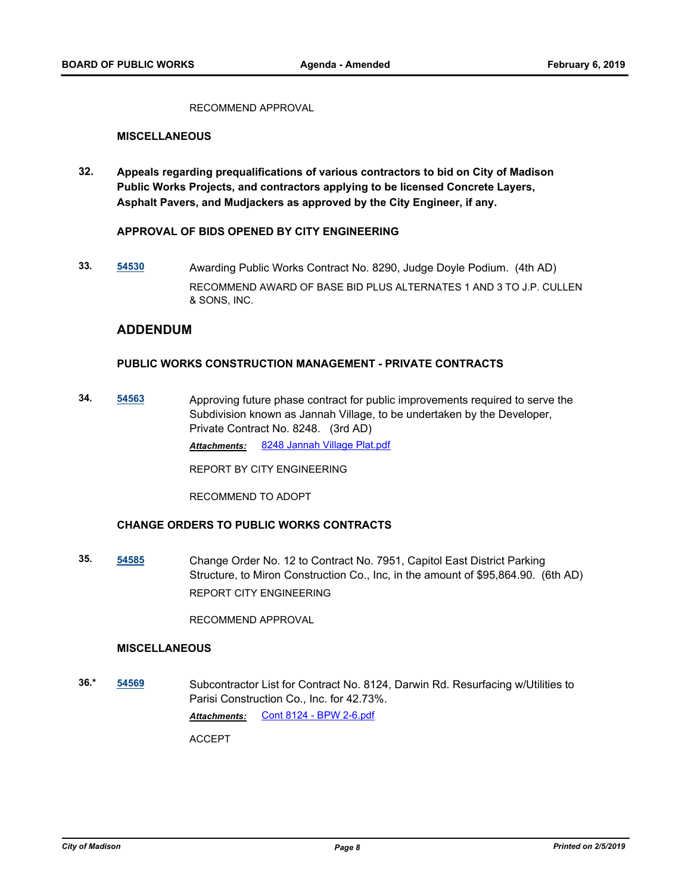RECOMMEND APPROVAL

### **MISCELLANEOUS**

**32. Appeals regarding prequalifications of various contractors to bid on City of Madison Public Works Projects, and contractors applying to be licensed Concrete Layers, Asphalt Pavers, and Mudjackers as approved by the City Engineer, if any.**

#### **APPROVAL OF BIDS OPENED BY CITY ENGINEERING**

**33. [54530](http://madison.legistar.com/gateway.aspx?m=l&id=/matter.aspx?key=65048)** Awarding Public Works Contract No. 8290, Judge Doyle Podium. (4th AD) RECOMMEND AWARD OF BASE BID PLUS ALTERNATES 1 AND 3 TO J.P. CULLEN & SONS, INC.

## **ADDENDUM**

## **PUBLIC WORKS CONSTRUCTION MANAGEMENT - PRIVATE CONTRACTS**

**34. [54563](http://madison.legistar.com/gateway.aspx?m=l&id=/matter.aspx?key=65078)** Approving future phase contract for public improvements required to serve the Subdivision known as Jannah Village, to be undertaken by the Developer, Private Contract No. 8248. (3rd AD) *Attachments:* [8248 Jannah Village Plat.pdf](http://madison.legistar.com/gateway.aspx?M=F&ID=2cf366ce-0bc1-41ab-b0d5-78f2e9b891f1.pdf)

REPORT BY CITY ENGINEERING

RECOMMEND TO ADOPT

## **CHANGE ORDERS TO PUBLIC WORKS CONTRACTS**

**35. [54585](http://madison.legistar.com/gateway.aspx?m=l&id=/matter.aspx?key=65097)** Change Order No. 12 to Contract No. 7951, Capitol East District Parking Structure, to Miron Construction Co., Inc, in the amount of \$95,864.90. (6th AD) REPORT CITY ENGINEERING

RECOMMEND APPROVAL

## **MISCELLANEOUS**

**36.\* [54569](http://madison.legistar.com/gateway.aspx?m=l&id=/matter.aspx?key=65084)** Subcontractor List for Contract No. 8124, Darwin Rd. Resurfacing w/Utilities to Parisi Construction Co., Inc. for 42.73%. *Attachments:* [Cont 8124 - BPW 2-6.pdf](http://madison.legistar.com/gateway.aspx?M=F&ID=1cb5de1a-491f-445a-9a0d-bcbe0fe22106.pdf)

ACCEPT